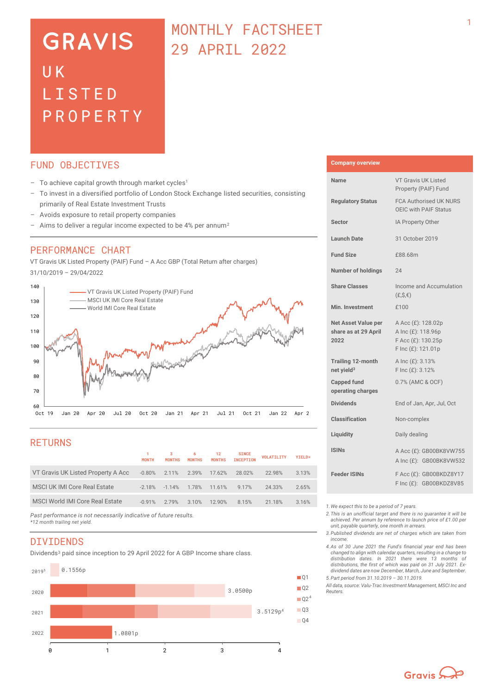# **GRAVIS**  $U K$ LISTED PROPERTY

## MONTHLY FACTSHEET 29 APRIL 2022

### FUND OBJECTIVES

- $-$  To achieve capital growth through market cycles<sup>1</sup>
- To invest in a diversified portfolio of London Stock Exchange listed securities, consisting primarily of Real Estate Investment Trusts
- Avoids exposure to retail property companies
- Aims to deliver a regular income expected to be 4% per annum<sup>2</sup>

### PERFORMANCE CHART

VT Gravis UK Listed Property (PAIF) Fund – A Acc GBP (Total Return after charges) 31/10/2019 – 29/04/2022



## RETURNS

|                                     | <b>MONTH</b> | <b>MONTHS</b>   | 6<br><b>MONTHS</b> | 12<br><b>MONTHS</b> | <b>SINCE</b><br><b>INCEPTION</b> | <b>VOLATILITY</b> | YIELD* |
|-------------------------------------|--------------|-----------------|--------------------|---------------------|----------------------------------|-------------------|--------|
| VT Gravis UK Listed Property A Acc  | $-0.80\%$    | 2.11% 2.39%     |                    | 17.62%              | 28.02%                           | 22.98%            | 3.13%  |
| <b>MSCI UK IMI Core Real Estate</b> | $-2.18%$     | $-1.14\%$ 1.78% |                    | 11.61%              | 9 1 7%                           | 24.33%            | 2.65%  |
| MSCI World IMI Core Real Estate     | $-0.91%$     | 2.79%           | 3.10%              | 12 90%              | 8 1 5%                           | 21.18%            | 3.16%  |
|                                     |              |                 |                    |                     |                                  |                   |        |

*Past performance is not necessarily indicative of future results. \*12 month trailing net yield.* 

#### **DIVIDENDS**

Dividends<sup>3</sup> paid since inception to 29 April 2022 for A GBP Income share class.



#### **Company overview**

| Name                                                       | <b>VT Gravis UK Listed</b><br>Property (PAIF) Fund                                   |  |  |  |
|------------------------------------------------------------|--------------------------------------------------------------------------------------|--|--|--|
| <b>Regulatory Status</b>                                   | <b>FCA Authorised UK NURS</b><br>OEIC with PAIF Status                               |  |  |  |
| <b>Sector</b>                                              | IA Property Other                                                                    |  |  |  |
| <b>Launch Date</b>                                         | 31 October 2019                                                                      |  |  |  |
| <b>Fund Size</b>                                           | £88.68m                                                                              |  |  |  |
| <b>Number of holdings</b>                                  | 24                                                                                   |  |  |  |
| <b>Share Classes</b>                                       | Income and Accumulation<br>$(E, S, \epsilon)$                                        |  |  |  |
| Min. Investment                                            | f100                                                                                 |  |  |  |
| <b>Net Asset Value per</b><br>share as at 29 April<br>2022 | A Acc (£): 128.02p<br>A Inc (£): 118.96p<br>F Acc (£): 130.25p<br>F Inc (£): 121.01p |  |  |  |
| <b>Trailing 12-month</b><br>net yield <sup>3</sup>         | A Inc (£): 3.13%<br>F Inc (£): 3.12%                                                 |  |  |  |
| <b>Capped fund</b><br>operating charges                    | 0.7% (AMC & OCF)                                                                     |  |  |  |
| <b>Dividends</b>                                           | End of Jan, Apr, Jul, Oct                                                            |  |  |  |
| <b>Classification</b>                                      | Non-complex                                                                          |  |  |  |
| Liquidity                                                  | Daily dealing                                                                        |  |  |  |
| <b>ISINs</b>                                               | A Acc (£): GB00BK8VW755<br>A Inc (£): GB00BK8VW532                                   |  |  |  |
| <b>Feeder ISINs</b>                                        | F Acc (£): GB00BKDZ8Y17<br>F Inc (£): GB00BKDZ8V85                                   |  |  |  |

*1.We expect this to be a period of 7 years.* 

*2.This is an unofficial target and there is no guarantee it will be achieved. Per annum by reference to launch price of £1.00 per unit, payable quarterly, one month in arrears.*

- *3.Published dividends are net of charges which are taken from income.*
- *4.As of 30 June 2021 the Fund's financial year end has been changed to align with calendar quarters, resulting in a change to distribution dates. In 2021 there were 13 months of distributions, the first of which was paid on 31 July 2021. Exdividend dates are now December, March, June and September.*
- *5.Part period from 31.10.2019 – 30.11.2019.*

 $Q2<sup>4</sup>$ 

*All data, source: Valu-Trac Investment Management, MSCI Inc and Reuters.*

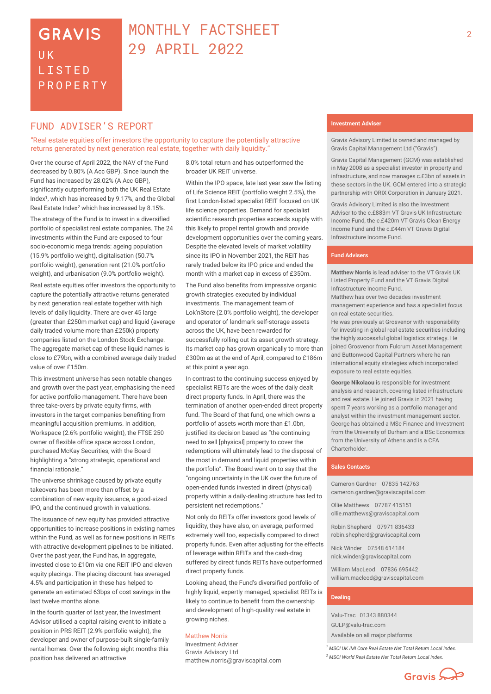## **GRAVIS UK** LISTED PROPERTY

## MONTHLY FACTSHEET 29 APRIL 2022

## FUND ADVISER'S REPORT

"Real estate equities offer investors the opportunity to capture the potentially attractive returns generated by next generation real estate, together with daily liquidity."

Over the course of April 2022, the NAV of the Fund decreased by 0.80% (A Acc GBP). Since launch the Fund has increased by 28.02% (A Acc GBP), significantly outperforming both the UK Real Estate Index<sup>1</sup>, which has increased by 9.17%, and the Global Real Estate Index<sup>2</sup> which has increased by 8.15%.

The strategy of the Fund is to invest in a diversified portfolio of specialist real estate companies. The 24 investments within the Fund are exposed to four socio-economic mega trends: ageing population (15.9% portfolio weight), digitalisation (50.7% portfolio weight), generation rent (21.0% portfolio weight), and urbanisation (9.0% portfolio weight).

Real estate equities offer investors the opportunity to capture the potentially attractive returns generated by next generation real estate together with high levels of daily liquidity. There are over 45 large (greater than £250m market cap) and liquid (average daily traded volume more than £250k) property companies listed on the London Stock Exchange. The aggregate market cap of these liquid names is close to £79bn, with a combined average daily traded value of over £150m.

This investment universe has seen notable changes and growth over the past year, emphasising the need for active portfolio management. There have been three take-overs by private equity firms, with investors in the target companies benefiting from meaningful acquisition premiums. In addition, Workspace (2.6% portfolio weight), the FTSE 250 owner of flexible office space across London, purchased McKay Securities, with the Board highlighting a "strong strategic, operational and financial rationale."

The universe shrinkage caused by private equity takeovers has been more than offset by a combination of new equity issuance, a good-sized IPO, and the continued growth in valuations.

The issuance of new equity has provided attractive opportunities to increase positions in existing names within the Fund, as well as for new positions in REITs with attractive development pipelines to be initiated. Over the past year, the Fund has, in aggregate, invested close to £10m via one REIT IPO and eleven equity placings. The placing discount has averaged 4.5% and participation in these has helped to generate an estimated 63bps of cost savings in the last twelve months alone.

In the fourth quarter of last year, the Investment Advisor utilised a capital raising event to initiate a position in PRS REIT (2.9% portfolio weight), the developer and owner of purpose-built single-family rental homes. Over the following eight months this position has delivered an attractive

8.0% total return and has outperformed the broader UK REIT universe.

Within the IPO space, late last year saw the listing of Life Science REIT (portfolio weight 2.5%), the first London-listed specialist REIT focused on UK life science properties. Demand for specialist scientific research properties exceeds supply with this likely to propel rental growth and provide development opportunities over the coming years. Despite the elevated levels of market volatility since its IPO in November 2021, the REIT has rarely traded below its IPO price and ended the month with a market cap in excess of £350m.

The Fund also benefits from impressive organic growth strategies executed by individual investments. The management team of Lok'nStore (2.0% portfolio weight), the developer and operator of landmark self-storage assets across the UK, have been rewarded for successfully rolling out its asset growth strategy. Its market cap has grown organically to more than £300m as at the end of April, compared to £186m at this point a year ago.

In contrast to the continuing success enjoyed by specialist REITs are the woes of the daily dealt direct property funds. In April, there was the termination of another open-ended direct property fund. The Board of that fund, one which owns a portfolio of assets worth more than £1.0bn, justified its decision based as "the continuing need to sell [physical] property to cover the redemptions will ultimately lead to the disposal of the most in demand and liquid properties within the portfolio". The Board went on to say that the "ongoing uncertainty in the UK over the future of open-ended funds invested in direct (physical) property within a daily-dealing structure has led to persistent net redemptions."

Not only do REITs offer investors good levels of liquidity, they have also, on average, performed extremely well too, especially compared to direct property funds. Even after adjusting for the effects of leverage within REITs and the cash-drag suffered by direct funds REITs have outperformed direct property funds.

Looking ahead, the Fund's diversified portfolio of highly liquid, expertly managed, specialist REITs is likely to continue to benefit from the ownership and development of high-quality real estate in growing niches.

#### Matthew Norris

Investment Adviser Gravis Advisory Ltd matthew.norris@graviscapital.com

### **Investment Adviser**

Gravis Advisory Limited is owned and managed by Gravis Capital Management Ltd ("Gravis").

Gravis Capital Management (GCM) was established in May 2008 as a specialist investor in property and infrastructure, and now manages c.£3bn of assets in these sectors in the UK. GCM entered into a strategic partnership with ORIX Corporation in January 2021.

Gravis Advisory Limited is also the Investment Adviser to the c.£883m VT Gravis UK Infrastructure Income Fund, the c.£420m VT Gravis Clean Energy Income Fund and the c.£44m VT Gravis Digital Infrastructure Income Fund.

#### **Fund Advisers**

**Matthew Norris** is lead adviser to the VT Gravis UK Listed Property Fund and the VT Gravis Digital Infrastructure Income Fund.

Matthew has over two decades investment management experience and has a specialist focus on real estate securities.

He was previously at Grosvenor with responsibility for investing in global real estate securities including the highly successful global logistics strategy. He joined Grosvenor from Fulcrum Asset Management and Buttonwood Capital Partners where he ran international equity strategies which incorporated exposure to real estate equities.

**George Nikolaou** is responsible for investment analysis and research, covering listed infrastructure and real estate. He joined Gravis in 2021 having spent 7 years working as a portfolio manager and analyst within the investment management sector. George has obtained a MSc Finance and Investment from the University of Durham and a BSc Economics from the University of Athens and is a CFA Charterholder.

#### **Sales Contacts**

Cameron Gardner 07835 142763 cameron.gardner@graviscapital.com

Ollie Matthews 07787 415151 [ollie.matthews@graviscapital.com](mailto:ollie.matthews@graviscapital.com)

Robin Shepherd 07971 836433 [robin.shepherd@graviscapital.com](mailto:robin.shepherd@graviscapital.com)

Nick Winder [07548 614184](tel:07548%20614184) nick.winder@graviscapital.com

William MacLeod 07836 695442 [william.macleod@graviscapital.com](mailto:william.macleod@graviscapital.com)

#### **Dealing**

Valu‑Trac 01343 880344 GULP@valu-trac.com Available on all major platforms

*<sup>1</sup> MSCI UK IMI Core Real Estate Net Total Return Local index. <sup>2</sup> MSCI World Real Estate Net Total Return Local index.*